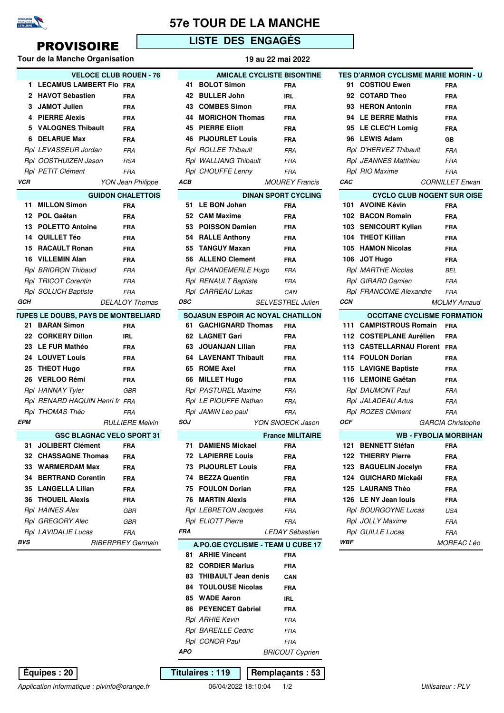

### **57e TOUR DE LA MANCHE**

**AMICALE CYCLISTE BISONTINE**

## PROVISOIRE **LISTE DES ENGAGÉS**

#### **Tour de la Manche Organisation 19 au 22 mai 2022**

|            | <b>VELOCE CLUB ROUEN - 76</b>              |                          |
|------------|--------------------------------------------|--------------------------|
| 1          | <b>LECAMUS LAMBERT Flo FRA</b>             |                          |
| 2          | <b>HAVOT Sébastien</b>                     | <b>FRA</b>               |
|            | 3 JAMOT Julien                             | <b>FRA</b>               |
|            | 4 PIERRE Alexis                            | <b>FRA</b>               |
|            | 5 VALOGNES Thibault                        | <b>FRA</b>               |
|            | 6 DELARUE Max                              | <b>FRA</b>               |
|            | Rpl LEVASSEUR Jordan                       | <b>FRA</b>               |
|            | Rpl OOSTHUIZEN Jason                       | <b>RSA</b>               |
|            | Rpl PETIT Clément                          | <b>FRA</b>               |
| <b>VCR</b> |                                            | YON Jean Philippe        |
|            |                                            | <b>GUIDON CHALETTOIS</b> |
|            | 11 MILLON Simon                            | FRA                      |
|            | 12 POL Gaëtan                              | <b>FRA</b>               |
|            | 13 POLETTO Antoine                         | <b>FRA</b>               |
|            | 14 QUILLET Téo                             | <b>FRA</b>               |
|            | 15 RACAULT Ronan                           | <b>FRA</b>               |
|            | 16 VILLEMIN Alan                           | <b>FRA</b>               |
|            | Rpl BRIDRON Thibaud                        | <b>FRA</b>               |
|            | Rpl TRICOT Corentin                        | <b>FRA</b>               |
|            | Rpl SOLUCH Baptiste                        | FRA                      |
| GCH        |                                            | <b>DELALOY Thomas</b>    |
|            | <b>TUPES LE DOUBS, PAYS DE MONTBELIARD</b> |                          |
|            | 21 BARAN Simon                             | <b>FRA</b>               |
|            | 22 CORKERY Dillon                          | IRL                      |
|            | 23 LE FUR Mathéo                           | <b>FRA</b>               |
|            | 24 LOUVET Louis                            | <b>FRA</b>               |
|            | 25 THEOT Hugo                              | <b>FRA</b>               |
|            | 26 VERLOO Rémi                             | <b>FRA</b>               |
|            | Rpl HANNAY Tyler                           | GBR                      |
|            | Rpl RENARD HAQUIN Henri fr FRA             |                          |
|            | <i>Rpl THOMAS Théo</i>                     | <b>FRA</b>               |
| <b>EPM</b> |                                            | <b>RULLIERE Melvin</b>   |
|            | <b>GSC BLAGNAC VELO SPORT 31</b>           |                          |
| 31         | JOLIBERT Clément FRA                       |                          |
|            | 32 CHASSAGNE Thomas                        | <b>FRA</b>               |
|            | 33 WARMERDAM Max                           | <b>FRA</b>               |
|            | 34 BERTRAND Corentin                       | <b>FRA</b>               |
|            | 35 LANGELLA Lilian                         | <b>FRA</b>               |
|            | <b>36 THOUEIL Alexis</b>                   | FRA                      |
|            | Rpl HAINES Alex                            | GBR                      |
|            | Rpl GREGORY Alec                           | GBR                      |
|            | Rpl LAVIDALIE Lucas                        | <b>FRA</b>               |
| BVS        |                                            | <b>RIBERPREY Germain</b> |

| 1                            | LECAMUS LAMBERT FIO FRA                                         |                          | 41         |  | <b>BOLOT Simon</b>                       |  | <b>FRA</b>                        |
|------------------------------|-----------------------------------------------------------------|--------------------------|------------|--|------------------------------------------|--|-----------------------------------|
| 2                            | <b>HAVOT Sébastien</b>                                          | FRA                      | 42         |  | <b>BULLER John</b>                       |  | IRL                               |
| 3                            | <b>JAMOT Julien</b>                                             | <b>FRA</b>               | 43         |  | <b>COMBES Simon</b>                      |  | <b>FRA</b>                        |
| 4                            | <b>PIERRE Alexis</b>                                            | <b>FRA</b>               |            |  | 44 MORICHON Thomas                       |  | <b>FRA</b>                        |
| 5                            | <b>VALOGNES Thibault</b>                                        | <b>FRA</b>               |            |  | <b>45 PIERRE Eliott</b>                  |  | <b>FRA</b>                        |
| 6                            | <b>DELARUE Max</b>                                              | <b>FRA</b>               | 46         |  | <b>PIJOURLET Louis</b>                   |  | <b>FRA</b>                        |
|                              | Rpl LEVASSEUR Jordan                                            | <b>FRA</b>               |            |  | Rpl ROLLEE Thibault                      |  | <b>FRA</b>                        |
|                              | Rpl OOSTHUIZEN Jason                                            | <b>RSA</b>               |            |  | Rpl WALLIANG Thibault                    |  | <b>FRA</b>                        |
|                              | Rpl PETIT Clément                                               | <b>FRA</b>               |            |  | Rpl CHOUFFE Lenny                        |  | <b>FRA</b>                        |
| СR                           |                                                                 | <b>YON Jean Philippe</b> | ACB        |  |                                          |  | <b>MOUREY Francis</b>             |
|                              |                                                                 | <b>GUIDON CHALETTOIS</b> |            |  |                                          |  | <b>DINAN SPORT CYCLING</b>        |
| 11                           | <b>MILLON Simon</b>                                             | FRA                      | 51         |  | <b>LE BON Johan</b>                      |  | <b>FRA</b>                        |
| 12                           | <b>POL Gaëtan</b>                                               | FRA                      |            |  | 52 CAM Maxime                            |  | <b>FRA</b>                        |
| 13                           | <b>POLETTO Antoine</b>                                          | <b>FRA</b>               |            |  | 53 POISSON Damien                        |  | <b>FRA</b>                        |
| 14                           | <b>QUILLET Téo</b>                                              | FRA                      | 54         |  | <b>RALLE Anthony</b>                     |  | <b>FRA</b>                        |
| 15                           | <b>RACAULT Ronan</b>                                            | <b>FRA</b>               | 55         |  | <b>TANGUY Maxan</b>                      |  | <b>FRA</b>                        |
| 16                           | <b>VILLEMIN Alan</b>                                            | <b>FRA</b>               |            |  | 56 ALLENO Clement                        |  | <b>FRA</b>                        |
|                              | Rpl BRIDRON Thibaud                                             | <b>FRA</b>               |            |  | Rpl CHANDEMERLE Hugo                     |  | <b>FRA</b>                        |
|                              | <b>Rpl TRICOT Corentin</b>                                      | <b>FRA</b>               |            |  | Rpl RENAULT Baptiste                     |  | <b>FRA</b>                        |
|                              | <b>Rpl SOLUCH Baptiste</b>                                      | <b>FRA</b>               |            |  | Rpl CARREAU Lukas                        |  | CAN                               |
| CН                           |                                                                 | <b>DELALOY Thomas</b>    | <b>DSC</b> |  |                                          |  | <b>SELVESTREL Julien</b>          |
|                              |                                                                 |                          |            |  |                                          |  |                                   |
| 21                           | <b>JPES LE DOUBS, PAYS DE MONTBELIARD</b><br><b>BARAN Simon</b> |                          |            |  | 61 GACHIGNARD Thomas                     |  | SOJASUN ESPOIR AC NOYAL CHATILLON |
|                              | 22 CORKERY Dillon                                               | <b>FRA</b>               |            |  | 62 LAGNET Gari                           |  | <b>FRA</b>                        |
|                              |                                                                 | IRL                      |            |  |                                          |  | <b>FRA</b>                        |
|                              | 23 LE FUR Mathéo                                                | <b>FRA</b>               |            |  | 63 JOUANJAN Lilian                       |  | <b>FRA</b>                        |
| 24                           | <b>LOUVET Louis</b>                                             | FRA                      |            |  | <b>64 LAVENANT Thibault</b>              |  | <b>FRA</b>                        |
| 25                           | <b>THEOT Hugo</b>                                               | FRA                      |            |  | 65 ROME Axel                             |  | <b>FRA</b>                        |
| 26                           | <b>VERLOO Rémi</b>                                              | FRA                      |            |  | 66 MILLET Hugo                           |  | <b>FRA</b>                        |
|                              | Rpl HANNAY Tyler                                                | GBR                      |            |  | Rpl PASTUREL Maxime                      |  | <b>FRA</b>                        |
|                              | Rpl RENARD HAQUIN Henri fr FRA                                  |                          |            |  | Rpl LE PIOUFFE Nathan                    |  | <b>FRA</b>                        |
|                              | Rpl THOMAS Théo                                                 | <b>FRA</b>               |            |  | Rpl JAMIN Leo paul                       |  | <b>FRA</b>                        |
| PМ<br><b>RULLIERE Melvin</b> |                                                                 |                          | soJ        |  |                                          |  | YON SNOECK Jason                  |
|                              | <b>GSC BLAGNAC VELO SPORT 31</b>                                |                          |            |  |                                          |  | <b>France MILITAIRE</b>           |
| 31                           | <b>JOLIBERT Clément</b>                                         | <b>FRA</b>               | 71         |  | <b>DAMIENS Mickael</b>                   |  | <b>FRA</b>                        |
| 32                           | <b>CHASSAGNE Thomas</b>                                         | FRA                      |            |  | 72 LAPIERRE Louis                        |  | FRA                               |
|                              | 33 WARMERDAM Max                                                | FRA                      |            |  | <b>73 PIJOURLET Louis</b>                |  | FRA                               |
|                              | 34 BERTRAND Corentin                                            | FRA                      |            |  | 74 BEZZA Quentin                         |  | <b>FRA</b>                        |
|                              | 35 LANGELLA Lilian                                              | FRA                      |            |  | 75 FOULON Dorian                         |  | <b>FRA</b>                        |
|                              | <b>36 THOUEIL Alexis</b>                                        | FRA                      |            |  | <b>76 MARTIN Alexis</b>                  |  | <b>FRA</b>                        |
|                              | <b>Rpl HAINES Alex</b>                                          | GBR                      |            |  | <b>Rpl LEBRETON Jacques</b>              |  | FRA                               |
|                              | Rpl GREGORY Alec                                                | GBR                      |            |  | <b>Rpl ELIOTT Pierre</b>                 |  | <b>FRA</b>                        |
|                              | Rpl LAVIDALIE Lucas                                             | FRA                      | FRA        |  |                                          |  | <b>LEDAY Sébastien</b>            |
| vs                           |                                                                 | RIBERPREY Germain        |            |  |                                          |  | A.PO.GE CYCLISME - TEAM U CUBE 17 |
|                              |                                                                 |                          |            |  | 81 ARHIE Vincent                         |  | <b>FRA</b>                        |
|                              |                                                                 |                          |            |  | 82 CORDIER Marius                        |  | <b>FRA</b>                        |
|                              |                                                                 |                          |            |  | 83 THIBAULT Jean denis                   |  | <b>CAN</b>                        |
|                              |                                                                 |                          |            |  | <b>84 TOULOUSE Nicolas</b><br><b>FRA</b> |  |                                   |
|                              |                                                                 |                          |            |  | 85 WADE Aaron<br>IRL                     |  |                                   |
|                              |                                                                 |                          |            |  | 86 PEYENCET Gabriel                      |  | <b>FRA</b>                        |
|                              |                                                                 |                          |            |  | Rpl ARHIE Kevin                          |  | FRA                               |
|                              |                                                                 |                          |            |  | <b>Rpl BAREILLE Cedric</b>               |  | FRA                               |
|                              |                                                                 |                          |            |  | <b>Rpl</b> CONOR Paul                    |  | FRA                               |
|                              |                                                                 |                          | APO        |  |                                          |  | <b>BRICOUT Cyprien</b>            |
|                              |                                                                 |                          |            |  |                                          |  |                                   |
|                              | Équipes: 20                                                     |                          |            |  | <b>Titulaires: 119</b>                   |  | Remplaçants: 53                   |

**TES D'ARMOR CYCLISME MARIE MORIN - U 91 COSTIOU Ewen FRA 92 COTARD Theo FRA 93 HERON Antonin FRA 94 LE BERRE Mathis FRA 95 LE CLEC'H Lomig FRA 96 LEWIS Adam GB** Rpl D'HERVEZ Thibault FRA Rpl JEANNES Matthieu FRA Rpl RIO Maxime FRA **CAC** CORNILLET Erwan **CYCLO CLUB NOGENT SUR OISE 101 AVOINE Kévin FRA 102 BACON Romain FRA 103 SENICOURT Kylian FRA 104 THEOT Killian FRA 105 HAMON Nicolas FRA 106 JOT Hugo FRA** Rpl MARTHE Nicolas BEL Rpl GIRARD Damien FRA Rpl FRANCOME Alexandre FRA **CCN** MOLMY Arnaud **OCCITANE CYCLISME FORMATION 111 CAMPISTROUS Romain FRA 112 COSTEPLANE Aurélien FRA 113 CASTELLARNAU Florent FRA 114 FOULON Dorian FRA 115 LAVIGNE Baptiste FRA 116 LEMOINE Gaëtan FRA** Rpl DAUMONT Paul FRA Rpl JALADEAU Artus FRA Rpl ROZES Clément FRA **OCF** GARCIA Christophe **WB - FYBOLIA MORBIHAN 121 BENNETT Stéfan FRA 122 THIERRY Pierre FRA 123 BAGUELIN Jocelyn FRA 124 GUICHARD Mickaël FRA 125 LAURANS Théo FRA 126 LE NY Jean louis FRA** Rpl BOURGOYNE Lucas USA Rpl JOLLY Maxime FRA Rpl GUILLE Lucas FRA **WBF** MOREAC Léo

Application informatique : plvinfo@orange.fr <br>
06/04/2022 18:10:04 1/2 <br>
06/04/2022 18:10:04 1/2